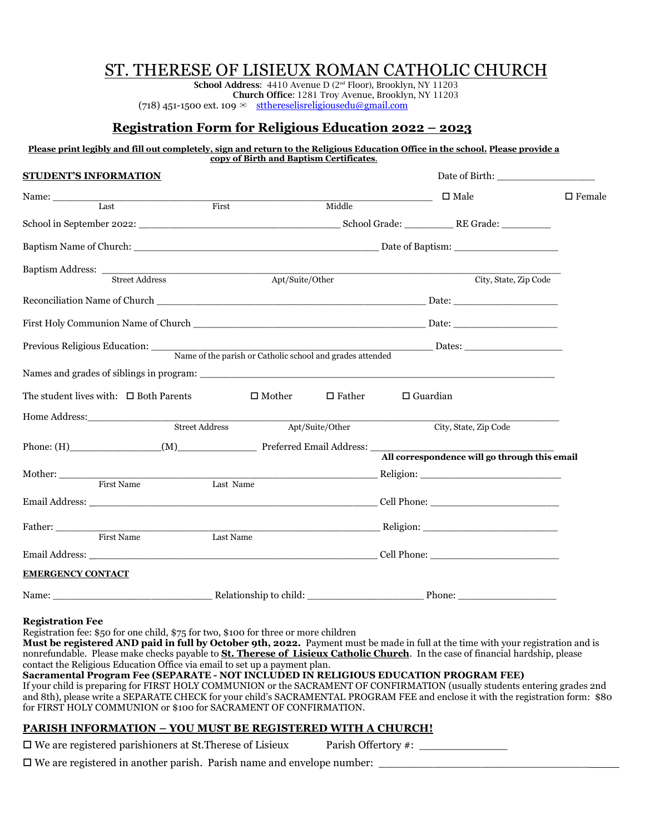# ST. THERESE OF LISIEUX ROMAN CATHOLIC CHURCH

**School Address**: 4410 Avenue D (2nd Floor), Brooklyn, NY 11203 **Church Office**: 1281 Troy Avenue, Brooklyn, NY 11203 (718) 451-1500 ext. 109  $\approx$  [stthereselisreligiousedu@gmail.com](mailto:stthereselisreligiousedu@gmail.com)

# **Registration Form for Religious Education 2022 – 2023**

#### **Please print legibly and fill out completely, sign and return to the Religious Education Office in the school. Please provide a copy of Birth and Baptism Certificates**.

| <b>STUDENT'S INFORMATION</b>                                                            |                |                  |                  |                 |                                               |               |
|-----------------------------------------------------------------------------------------|----------------|------------------|------------------|-----------------|-----------------------------------------------|---------------|
| Name: Last First                                                                        |                |                  |                  |                 | $\Box$ Male                                   | $\Box$ Female |
|                                                                                         |                |                  | Middle           |                 |                                               |               |
|                                                                                         |                |                  |                  |                 |                                               |               |
|                                                                                         |                |                  |                  |                 |                                               |               |
| Baptism Address: <u>Street Address</u>                                                  |                | Apt/Suite/Other  |                  |                 | City, State, Zip Code                         |               |
|                                                                                         |                |                  |                  |                 |                                               |               |
|                                                                                         |                |                  |                  |                 |                                               |               |
|                                                                                         |                |                  |                  |                 |                                               |               |
| Previous Religious Education: Name of the parish or Catholic school and grades attended |                |                  |                  |                 |                                               |               |
|                                                                                         |                |                  |                  |                 |                                               |               |
| The student lives with: $\Box$ Both Parents                                             |                | $\square$ Mother | $\square$ Father | $\Box$ Guardian |                                               |               |
|                                                                                         |                |                  |                  |                 |                                               |               |
|                                                                                         | Street Address |                  | Apt/Suite/Other  |                 | City, State, Zip Code                         |               |
|                                                                                         |                |                  |                  |                 |                                               |               |
|                                                                                         |                |                  |                  |                 | All correspondence will go through this email |               |
| Mother: First Name                                                                      |                |                  |                  |                 |                                               |               |
|                                                                                         | Last Name      |                  |                  |                 |                                               |               |
|                                                                                         |                |                  |                  |                 |                                               |               |
|                                                                                         |                |                  |                  |                 |                                               |               |
|                                                                                         |                |                  |                  |                 |                                               |               |
|                                                                                         |                |                  |                  |                 |                                               |               |
| <b>EMERGENCY CONTACT</b>                                                                |                |                  |                  |                 |                                               |               |
|                                                                                         |                |                  |                  |                 | Phone:                                        |               |

#### **Registration Fee**

Registration fee: \$50 for one child, \$75 for two, \$100 for three or more children

**Must be registered AND paid in full by October 9th, 2022.** Payment must be made in full at the time with your registration and is nonrefundable. Please make checks payable to **St. Therese of Lisieux Catholic Church**. In the case of financial hardship, please contact the Religious Education Office via email to set up a payment plan. **Sacramental Program Fee (SEPARATE - NOT INCLUDED IN RELIGIOUS EDUCATION PROGRAM FEE)**

If your child is preparing for FIRST HOLY COMMUNION or the SACRAMENT OF CONFIRMATION (usually students entering grades 2nd and 8th), please write a SEPARATE CHECK for your child's SACRAMENTAL PROGRAM FEE and enclose it with the registration form: \$80 for FIRST HOLY COMMUNION or \$100 for SACRAMENT OF CONFIRMATION.

# **PARISH INFORMATION – YOU MUST BE REGISTERED WITH A CHURCH!**

 $\square$  We are registered parishioners at St.Therese of Lisieux Parish Offertory #:

 $\square$  We are registered in another parish. Parish name and envelope number:  $\square$